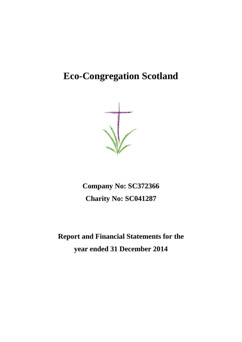# **Eco-Congregation Scotland**



**Company No: SC372366 Charity No: SC041287**

**Report and Financial Statements for the year ended 31 December 2014**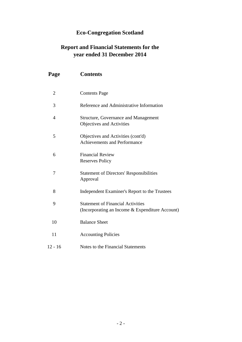# **Eco-Congregation Scotland**

# **Report and Financial Statements for the year ended 31 December 2014**

| Page           | <b>Contents</b>                                                                             |
|----------------|---------------------------------------------------------------------------------------------|
| $\overline{2}$ | <b>Contents Page</b>                                                                        |
| 3              | Reference and Administrative Information                                                    |
| 4              | <b>Structure, Governance and Management</b><br>Objectives and Activities                    |
| 5              | Objectives and Activities (cont'd)<br><b>Achievements and Performance</b>                   |
| 6              | <b>Financial Review</b><br><b>Reserves Policy</b>                                           |
| 7              | <b>Statement of Directors' Responsibilities</b><br>Approval                                 |
| 8              | Independent Examiner's Report to the Trustees                                               |
| 9              | <b>Statement of Financial Activities</b><br>(Incorporating an Income & Expenditure Account) |
| 10             | <b>Balance Sheet</b>                                                                        |
| 11             | <b>Accounting Policies</b>                                                                  |
| $12 - 16$      | Notes to the Financial Statements                                                           |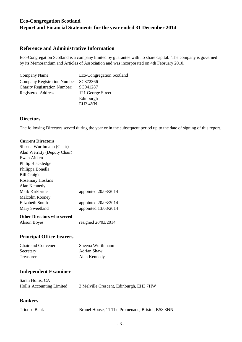# **Reference and Administrative Information**

Eco-Congregation Scotland is a company limited by guarantee with no share capital. The company is governed by its Memorandum and Articles of Association and was incorporated on 4th February 2010.

| Company Name:                        | Eco-Congregation Scotland |
|--------------------------------------|---------------------------|
| Company Registration Number SC372366 |                           |
| <b>Charity Registration Number:</b>  | SC041287                  |
| <b>Registered Address</b>            | 121 George Street         |
|                                      | Edinburgh                 |
|                                      | EH <sub>2</sub> 4YN       |

# **Directors**

The following Directors served during the year or in the subsequent period up to the date of signing of this report.

# **Current Directors**

| appointed 20/03/2014  |
|-----------------------|
|                       |
| appointed 20/03/2014  |
| appointed 13/08/2014  |
|                       |
| resigned $20/03/2014$ |
|                       |

# **Principal Office-bearers**

| Chair and Convener | Sheena Wurthmann |
|--------------------|------------------|
| Secretary          | Adrian Shaw      |
| <b>Treasurer</b>   | Alan Kennedy     |

# **Independent Examiner**

| Sarah Hollis, CA          |                                         |  |  |
|---------------------------|-----------------------------------------|--|--|
| Hollis Accounting Limited | 3 Melville Crescent, Edinburgh, EH3 7HW |  |  |

# **Bankers**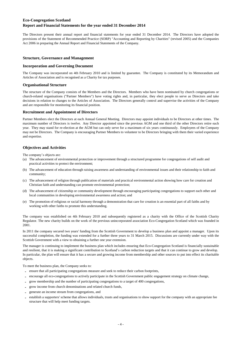The Directors present their annual report and financial statements for year ended 31 December 2014. The Directors have adopted the provisions of the Statement of Recommended Practice (SORP) "Accounting and Reporting by Charities" (revised 2005) and the Companies Act 2006 in preparing the Annual Report and Financial Statements of the Company.

#### **Structure, Governance and Management**

#### **Incorporation and Governing Document**

The Company was incorporated on 4th February 2010 and is limited by guarantee. The Company is constituted by its Memorandum and Articles of Association and is recognised as a Charity for tax purposes.

#### **Organisational Structure**

The structure of the Company consists of the Members and the Directors. Members who have been nominated by church congregations or church-related organisations ("Partner Members") have voting rights and, in particular, they elect people to serve as Directors and take decisions in relation to changes to the Articles of Association. The Directors generally control and supervise the activities of the Company and are responsible for monitoring its financial position.

#### **Recruitment and Appointment of Directors**

Partner Members elect the Directors at each Annual General Meeting. Directors may appoint individuals to be Directors at other times. The maximum number of Directors is twelve. Any Director appointed since the previous AGM and one third of the other Directors retire each year. They may stand for re-election at the AGM but can only serve for a maximum of six years continuously. Employees of the Company may not be Directors. The Company is encouraging Partner Members to volunteer to be Directors bringing with them their varied experience and expertise.

#### **Objectives and Activities**

The company's objects are:

- (a) The advancement of environmental protection or improvement through a structured programme for congregations of self audit and practical activities to protect the environment;
- (b) The advancement of education through raising awareness and understanding of environmental issues and their relationship to faith and community;
- (c) The advancement of religion through publication of materials and practical environmental action showing how care for creation and Christian faith and understanding can promote environmental protection;
- (d) The advancement of citizenship or community development through encouraging participating congregations to support each other and local communities in developing environmental awareness and action; and
- (e) The promotion of religious or racial harmony through a demonstration that care for creation is an essential part of all faiths and by working with other faiths to promote this understanding.

The company was established on 4th February 2010 and subsequently registered as a charity with the Office of the Scottish Charity Regulator. The new charity builds on the work of the previous unincorporated association Eco-Congregation Scotland which was founded in 2001.

In 2011 the company secured two years' funding from the Scottish Government to develop a business plan and appoint a manager. Upon its successful completion, the funding was extended for a further three years to 31 March 2015. Discussions are currently under way with the Scottish Government with a view to obtaining a further one year extension.

The manager is continuing to implement the business plan which includes ensuring that Eco-Congregation Scotland is financially sustainable and resilient, that it is making a significant contribution to Scotland's carbon reduction targets and that it can continue to grow and develop. In particular, the plan will ensure that it has a secure and growing income from membership and other sources to put into effect its charitable objects.

To meet the business plan, the Company seeks to:

- **-** ensure that all participating congregations measure and seek to reduce their carbon footprints,
- **-** encourage all eco-congregations to actively participate in the Scottish Government public engagement strategy on climate change,
- **-** grow membership and the number of participating congregations to a target of 400 congregations,
- **-** grow income from church denominations and related church funds,
- generate an income stream from congregations, and
- **-** establish a supporters' scheme that allows individuals, trusts and organisations to show support for the company with an appropriate fee structure that will help meet funding targets.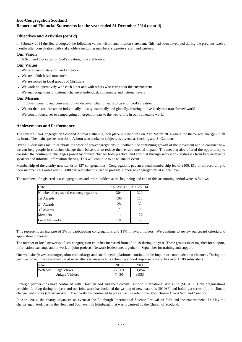#### **Objectives and Activities (cont'd)**

In February 2014 the Board adopted the following values, vision and mission statement. This had been developed during the previous twelve months after consultation with stakeholders including members, supporters, staff and trustees.

#### **Our Vision**

A Scotland that cares for God's creation, now and forever.

#### **Our Values**

- **-** We care passionately for God's creation
- **-** We are a faith based movement
- **-** We are rooted in local groups of Christians
- **-** We work co-operatively with each other and with others who care about the environment
- **-** We encourage transformational change at individual, community and national levels

#### **Our Mission**

- **-** In prayer, worship and conversation we discover what it means to care for God's creation
- **-** We put that care into action individually, locally, nationally and globally, desiring to live justly in a transformed world
- **-** We commit ourselves to campaigning on urgent threats to the web of life in our vulnerable world

#### **Achievements and Performance**

The seventh Eco-Congregation Scotland Annual Gathering took place in Edinburgh on 29th March 2014 where the theme was energy - in all its forms. The main speaker was John Ashton who spoke on subjects as diverse as fracking and St Cuthbert.

Over 100 delegates met to celebrate the work of eco-congregations in Scotland, the continuing growth of the movement and to consider how we can help people in churches change their behaviour to reduce their environmental impact. The meeting also offered the opportunity to consider the continuing challenges posed by climate change: both practical and spiritual through workshops, addresses from knowledgeable speakers and informal information sharing. This will continue to be an annual event.

Membership of the charity now stands at 127 congregations. Congregations pay an annual membership fee of £100, £50 or nil according to their income. This raises over £5,000 per year which is used to provide support to congregations at a local level.

The numbers of registered eco-congregations and award holders at the beginning and end of this accounting period were as follows.

| Date                                   | 31/12/2013 | 31/12/2014 |
|----------------------------------------|------------|------------|
| Number of registered eco-congregations | 304        | 320        |
| 1st Awards                             | 106        | 118        |
| $2nd$ Awards                           | 28         | 32         |
| $3rd$ Awards                           |            |            |
| <b>Members</b>                         | 111        | 127        |
| <b>Local Networks</b>                  | 18         | 19         |

This represents an increase of 5% in participating congregations and 11% in award holders. We continue to review our award criteria and application processes.

The number of local networks of eco-congregation churches increased from 18 to 19 during the year. These groups meet together for support, information exchange and to work on joint projects. Network leaders met together in September for training and support.

Our web site (www.ecocongregationscotland.org) and social media platforms continue to be important communication channels. During the year we moved to a new email based newsletter system which is achieving a good response rate and has over 1,100 subscribers.

| Year     |                 | 2013   | 2014   |
|----------|-----------------|--------|--------|
| Web Site | Page Views      | 27,863 | 31,854 |
|          | Unique Visitors | 7.430  | 8,953  |

Strategic partnerships have continued with Christian Aid and the Scottish Catholic International Aid Fund (SCIAF). Both organisations provided funding during the year and our joint work has included the writing of new materials (SCIAF) and holding a series of joint climate change road shows (Christian Aid). The charity has continued to play an active role in the Stop Climate Chaos Scotland Coalition.

In April 2014, the charity organised an event at the Edinburgh International Science Festival on faith and the environment. In May the charity again took part in the Heart and Soul event in Edinburgh that was organised by the Church of Scotland.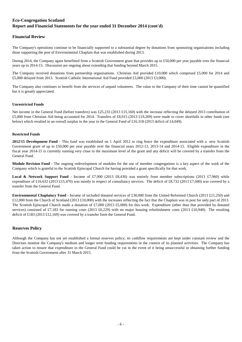### **Financial Review**

The Company's operations continue to be financially supported to a substantial degree by donations from sponsoring organisations including those supporting the post of Environmental Chaplain that was established during 2013.

During 2014, the Company again benefitted from a Scottish Government grant that provides up to £50,000 per year payable over the financial years up to 2014-15. Discussion are ongoing about extending that funding beyond March 2015.

The Company received donations from partnership organisations. Christian Aid provided £10,000 which comprised £5,000 for 2014 and £5,000 delayed from 2013. Scottish Catholic International Aid Fund provided £3,000 (2013 £3,000).

The Company also continues to benefit from the services of unpaid volunteers. The value to the Company of their time cannot be quantified but it is greatly appreciated.

#### **Unrestricted Funds**

Net income in the General Fund (before transfers) was £25,233 (2013 £15,160) with the increase reflecting the delayed 2013 contribution of £5,000 from Christian Aid being accounted for 2014. Transfers of £8,915 (2013 £19,209) were made to cover shortfalls in other funds (see below) which resulted in an overall surplus in the year in the General Fund of £16,318 (2013 deficit of £4,049).

#### **Restricted Funds**

**2012/15 Development Fund** - This fund was established on 1 April 2012 to ring fence the expenditure associated with a new Scottish Government grant of up to £50,000 per year payable over the financial years 2012-13, 2013-14 and 2014-15. Eligible expenditure in the fiscal year 2014-15 is currently running very close to the maximum level of the grant and any deficit will be covered by a transfer from the General Fund.

**Module Revision Fund** - The ongoing redevelopment of modules for the use of member congregations is a key aspect of the work of the Company which is grateful to the Scottish Episcopal Church for having provided a grant specifically for that work.

**Local & Network Support Fund** - Income of £7,900 (2013 £8,430) was entirely from member subscriptions (2013 £7,960) while expenditure of £16,632 (2013 £15,470) was mostly in respect of consultancy services. The deficit of £8,732 (2013 £7,040) was covered by a transfer from the General Fund.

**Environmental Chaplaincy Fund** - Income of included donated services of £30,000 from the United Reformed Church (2013 £21,250) and £12,000 from the Church of Scotland (2013 £10,000) with the increases reflecting the fact that the Chaplain was in post for only part of 2013. The Scottish Episcopal Church made a donation of £7,000 (2013 £5,000) for this work. Expenditure (other than that provided by donated services) consisted of £7,183 for running costs (2013 £6,229) with no major housing refurbishment costs (2013 £10,940). The resulting deficit of £183 (2013 £12,169) was covered by a transfer form the General Fund.

#### **Reserves Policy**

Although the Company has not yet established a formal reserves policy, its cashflow requirements are kept under constant review and the Directors monitor the Company's medium and longer term funding requirements in the context of its planned activities. The Company has taken action to ensure that expenditure in the General Fund could be cut in the event of it being unsuccessful in obtaining further funding from the Scottish Government after 31 March 2015.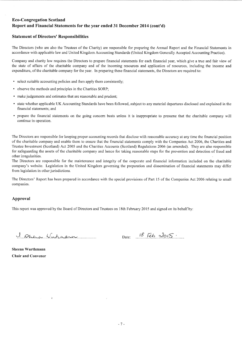### **Statement of Directors' Responsibilities**

The Directors (who are also the Trustees of the Charity) are responsible for preparing the Annual Report and the Financial Statements in accordance with applicable law and United Kingdom Accounting Standards (United Kingdom Generally Accepted Accounting Practice).

Company and charity law requires the Directors to prepare financial statements for each financial year, which give a true and fair view of the state of affairs of the charitable company and of the incoming resources and application of resources, including the income and expenditure, of the charitable company for the year. In preparing these financial statements, the Directors are required to:

- select suitable accounting policies and then apply them consistently;
- observe the methods and principles in the Charities SORP;
- make judgements and estimates that are reasonable and prudent;
- state whether applicable UK Accounting Standards have been followed, subject to any material departures disclosed and explained in the financial statements; and
- prepare the financial statements on the going concern basis unless it is inappropriate to presume that the charitable company will continue in operation.

The Directors are responsible for keeping proper accounting records that disclose with reasonable accuracy at any time the financial position of the charitable company and enable them to ensure that the financial statements comply with the Companies Act 2006, the Charities and Trustee Investment (Scotland) Act 2005 and the Charities Accounts (Scotland) Regulations 2006 (as amended). They are also responsible for safeguarding the assets of the charitable company and hence for taking reasonable steps for the prevention and detection of fraud and other irregularities.

The Directors are responsible for the maintenance and integrity of the corporate and financial information included on the charitable company's website. Legislation in the United Kingdom governing the preparation and dissemination of financial statements may differ from legislation in other jurisdictions.

The Directors' Report has been prepared in accordance with the special provisions of Part 15 of the Companies Act 2006 relating to small companies.

#### Approval

This report was approved by the Board of Directors and Trustees on 18th February 2015 and signed on its behalf by:

I guera Vutranni

 $\lambda$ 

Date:  $18$  Feb 2015.

Sheena Wurthmann **Chair and Convener**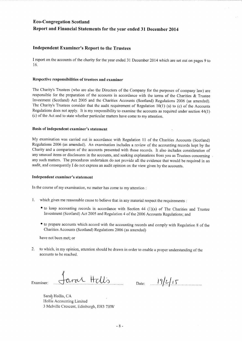### **Independent Examiner's Report to the Trustees**

I report on the accounts of the charity for the year ended 31 December 2014 which are set out on pages 9 to  $16.$ 

#### Respective responsibilities of trustees and examiner

The Charity's Trustees (who are also the Directors of the Company for the purposes of company law) are responsible for the preparation of the accounts in accordance with the terms of the Charities & Trustee Investment (Scotland) Act 2005 and the Charities Accounts (Scotland) Regulations 2006 (as amended). The Charity's Trustees consider that the audit requirement of Regulation  $10(1)$  (a) to (c) of the Accounts Regulations does not apply. It is my responsibility to examine the accounts as required under section 44(1) (c) of the Act and to state whether particular matters have come to my attention.

#### Basis of independent examiner's statement

My examination was carried out in accordance with Regulation 11 of the Charities Accounts (Scotland) Regulations 2006 (as amended). An examination includes a review of the accounting records kept by the Charity and a comparison of the accounts presented with those records. It also includes consideration of any unusual items or disclosures in the accounts, and seeking explanations from you as Trustees concerning any such matters. The procedures undertaken do not provide all the evidence that would be required in an audit, and consequently I do not express an audit opinion on the view given by the accounts.

#### Independent examiner's statement

In the course of my examination, no matter has come to my attention :

- which gives me reasonable cause to believe that in any material respect the requirements :  $1.$ 
	- to keep accounting records in accordance with Section 44 (1)(a) of The Charities and Trustee Investment (Scotland) Act 2005 and Regulation 4 of the 2006 Accounts Regulations; and
	- to prepare accounts which accord with the accounting records and comply with Regulation 8 of the Charities Accounts (Scotland) Regulations 2006 (as amended)

have not been met; or

2. to which, in my opinion, attention should be drawn in order to enable a proper understanding of the accounts to be reached.

faras Hills Examiner:

Date:  $19/2/15$ 

Sarah Hollis, CA Hollis Accounting Limited 3 Melville Crescent, Edinburgh, EH3 7HW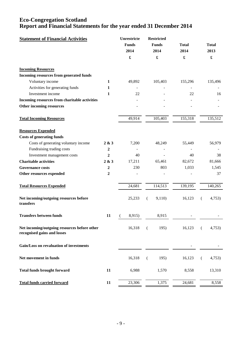| <b>Statement of Financial Activities</b>                                    |                  | Unrestricte<br><b>Funds</b><br>2014 | <b>Restricted</b><br><b>Funds</b><br>2014 | <b>Total</b><br>2014 | <b>Total</b><br>2013 |
|-----------------------------------------------------------------------------|------------------|-------------------------------------|-------------------------------------------|----------------------|----------------------|
|                                                                             |                  | $\pmb{\mathfrak{L}}$                | £                                         | £                    | $\pmb{\mathfrak{L}}$ |
| <b>Incoming Resources</b>                                                   |                  |                                     |                                           |                      |                      |
| Incoming resources from generated funds                                     |                  |                                     |                                           |                      |                      |
| Voluntary income                                                            | 1                | 49,892                              | 105,403                                   | 155,296              | 135,496              |
| Activities for generating funds                                             | 1                |                                     |                                           |                      |                      |
| Investment income                                                           | 1                | 22                                  |                                           | 22                   | 16                   |
| Incoming resources from charitable activities                               |                  |                                     |                                           |                      |                      |
| Other incoming resources                                                    |                  |                                     |                                           |                      |                      |
| <b>Total Incoming Resources</b>                                             |                  | 49,914                              | 105,403                                   | 155,318              | 135,512              |
| <b>Resources Expended</b>                                                   |                  |                                     |                                           |                      |                      |
| <b>Costs of generating funds</b>                                            |                  |                                     |                                           |                      |                      |
| Costs of generating voluntary income                                        | 2 & 3            | 7,200                               | 48,249                                    | 55,449               | 56,979               |
| Fundraising trading costs                                                   | $\boldsymbol{2}$ |                                     |                                           |                      |                      |
| Investment management costs                                                 | 2                | 40                                  |                                           | 40                   | 38                   |
| <b>Charitable activities</b>                                                | 2 & 3            | 17,211                              | 65,461                                    | 82,672               | 81,666               |
| <b>Governance costs</b>                                                     | $\boldsymbol{2}$ | 230                                 | 803                                       | 1,033                | 1,545                |
| Other resources expended                                                    | 2                |                                     |                                           |                      | 37                   |
| <b>Total Resources Expended</b>                                             |                  | 24,681                              | 114,513                                   | 139,195              | 140,265              |
| Net incoming/outgoing resources before<br>transfers                         |                  | 25,233                              | 9,110)<br>€                               | 16,123               | 4,753)<br>€          |
| <b>Transfers between funds</b>                                              | 11               | 8,915)<br>(                         | 8,915                                     |                      |                      |
| Net incoming/outgoing resources before other<br>recognised gains and losses |                  | 16,318                              | 195)<br>€                                 | 16,123               | 4,753)<br>€          |
| Gain/Loss on revaluation of investments                                     |                  |                                     |                                           |                      |                      |
| Net movement in funds                                                       |                  | 16,318                              | 195)<br>$\left($                          | 16,123               | 4,753)<br>€          |
| <b>Total funds brought forward</b>                                          | 11               | 6,988                               | 1,570                                     | 8,558                | 13,310               |
| <b>Total funds carried forward</b>                                          | 11               | 23,306                              | 1,375                                     | 24,681               | 8,558                |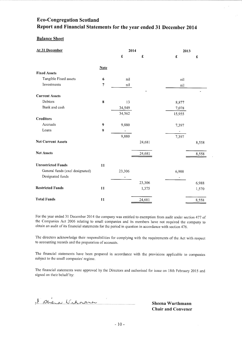### **Balance Sheet**

| At 31 December                  |                | 2014                         |        | 2013            |                 |
|---------------------------------|----------------|------------------------------|--------|-----------------|-----------------|
|                                 |                | $\pmb{\pmb{\pmb{\epsilon}}}$ | £      | $\pmb{\pounds}$ | $\pmb{\pounds}$ |
|                                 | <b>Note</b>    |                              |        |                 |                 |
| <b>Fixed Assets</b>             |                |                              |        |                 |                 |
| Tangible Fixed assets           | 6              | nil                          |        | nil             |                 |
| Investments                     | $\overline{7}$ | nil                          |        | nil             |                 |
| <b>Current Assets</b>           |                |                              |        |                 |                 |
| Debtors                         | 8              | 13                           |        | 8,877           |                 |
| Bank and cash                   |                | 34,549                       |        | 7,078           |                 |
|                                 |                | 34,562                       |        | 15,955          |                 |
| <b>Creditors</b>                |                |                              |        |                 |                 |
| Accruals                        | 9              | 9,880                        |        | 7,397           |                 |
| Loans                           | 9              |                              |        |                 |                 |
|                                 |                | 9,880                        |        | 7,397           |                 |
| <b>Net Current Assets</b>       |                |                              | 24,681 |                 | 8,558           |
| <b>Net Assets</b>               |                |                              | 24,681 |                 | 8,558           |
| <b>Unrestricted Funds</b>       | 11             |                              |        |                 |                 |
| General funds (excl designated) |                | 23,306                       |        | 6,988           |                 |
| Designated funds                |                |                              |        | -               |                 |
|                                 |                |                              | 23,306 |                 | 6,988           |
| <b>Restricted Funds</b>         | 11             |                              | 1,375  |                 | 1,570           |
| <b>Total Funds</b>              | 11             |                              | 24,681 |                 | 8,558           |

For the year ended 31 December 2014 the company was entitled to exemption from audit under section 477 of the Companies Act 2006 relating to small companies and its members have not required the company to obtain an audit of its financial statements for the period in question in accordance with section 476.

The directors acknowledge their responsibilities for complying with the requirements of the Act with respect to accounting records and the preparation of accounts.

The financial statements have been prepared in accordance with the provisions applicable to companies subject to the small companies' regime.

The financial statements were approved by the Directors and authorised for issue on 18th February 2015 and signed on their behalf by:

l'Overa Winnach

Sheena Wurthmann **Chair and Convener**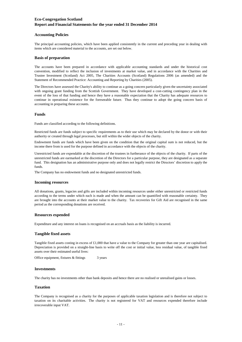#### **Accounting Policies**

The principal accounting policies, which have been applied consistently in the current and preceding year in dealing with items which are considered material to the accounts, are set out below.

#### **Basis of preparation**

The accounts have been prepared in accordance with applicable accounting standards and under the historical cost convention, modified to reflect the inclusion of investments at market value, and in accordance with the Charities and Trustee Investment (Scotland) Act 2005, The Charities Accounts (Scotland) Regulations 2006 (as amended) and the Statement of Recommended Practice: Accounting and Reporting by Charities (2005).

The Directors have assessed the Charity's ability to continue as a going concern particularly given the uncertainty associated with ongoing grant funding from the Scottish Government. They have developed a cost-cutting contingency plan in the event of the loss of that funding and hence they have a reasonable expectation that the Charity has adequate resources to continue in operational existence for the foreseeable future. Thus they continue to adopt the going concern basis of accounting in preparing these accounts.

#### **Funds**

Funds are classified according to the following definitions.

Restricted funds are funds subject to specific requirements as to their use which may be declared by the donor or with their authority or created through legal processes, but still within the wider objects of the charity.

Endowment funds are funds which have been given on the condition that the original capital sum is not reduced, but the income there from is used for the purpose defined in accordance with the objects of the charity.

Unrestricted funds are expendable at the discretion of the trustees in furtherance of the objects of the charity. If parts of the unrestricted funds are earmarked at the discretion of the Directors for a particular purpose, they are designated as a separate fund. This designation has an administrative purpose only and does not legally restrict the Directors' discretion to apply the funds.

The Company has no endowment funds and no designated unrestricted funds.

#### **Incoming resources**

All donations, grants, legacies and gifts are included within incoming resources under either unrestricted or restricted funds according to the terms under which each is made and when the amount can be quantified with reasonable certainty. They are brought into the accounts at their market value to the charity. Tax recoveries for Gift Aid are recognised in the same period as the corresponding donations are received.

#### **Resources expended**

Expenditure and any interest on loans is recognised on an accruals basis as the liability is incurred.

#### **Tangible fixed assets**

Tangible fixed assets costing in excess of £1,000 that have a value to the Company for greater than one year are capitalised. Depreciation is provided on a straight-line basis to write off the cost or initial value, less residual value, of tangible fixed assets over their estimated useful lives:

3 years Office equipment, fixtures & fittings

#### **Investments**

The charity has no investments other than bank deposits and hence there are no realised or unrealised gains or losses.

#### **Taxation**

The Company is recognised as a charity for the purposes of applicable taxation legislation and is therefore not subject to taxation on its charitable activities. The charity is not registered for VAT and resources expended therefore include irrecoverable input VAT.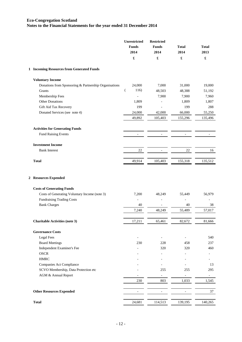|   |                                                                  | <b>Unrestricted</b><br><b>Funds</b><br>2014<br>£ | <b>Restricted</b><br><b>Funds</b><br>2014<br>£ | <b>Total</b><br>2014<br>£ | <b>Total</b><br>2013<br>$\pmb{\mathfrak{L}}$ |
|---|------------------------------------------------------------------|--------------------------------------------------|------------------------------------------------|---------------------------|----------------------------------------------|
|   | 1 Incoming Resources from Generated Funds                        |                                                  |                                                |                           |                                              |
|   | <b>Voluntary Income</b>                                          |                                                  |                                                |                           |                                              |
|   | Donations from Sponsoring & Partnership Organisations            | 24,000                                           | 7,000                                          | 31,000                    | 19,000                                       |
|   | Grants                                                           | 116)<br>$\left($                                 | 48,503                                         | 48,388                    | 51,192                                       |
|   | Membership Fees                                                  |                                                  | 7,900                                          | 7,900                     | 7,960                                        |
|   | <b>Other Donations</b>                                           | 1,809                                            |                                                | 1,809                     | 1,807                                        |
|   | Gift Aid Tax Recovery                                            | 199                                              |                                                | 199                       | 288                                          |
|   | Donated Services (see note 4)                                    | 24,000<br>49,892                                 | 42,000<br>105,403                              | 66,000<br>155,296         | 55,250<br>135,496                            |
|   | <b>Activities for Generating Funds</b>                           |                                                  |                                                |                           |                                              |
|   | Fund Raising Events                                              |                                                  |                                                |                           |                                              |
|   | <b>Investment Income</b>                                         |                                                  |                                                |                           |                                              |
|   | <b>Bank Interest</b>                                             | $22\,$                                           | $\overline{\phantom{a}}$                       | $22\,$                    | 16                                           |
|   | <b>Total</b>                                                     | 49,914                                           | 105,403                                        | 155,318                   | 135,512                                      |
| 2 | <b>Resources Expended</b>                                        |                                                  |                                                |                           |                                              |
|   | <b>Costs of Generating Funds</b>                                 |                                                  |                                                |                           |                                              |
|   | Costs of Generating Voluntary Income (note 3)                    | 7,200                                            | 48,249                                         | 55,449                    | 56,979                                       |
|   | <b>Fundraising Trading Costs</b>                                 |                                                  |                                                |                           |                                              |
|   | <b>Bank Charges</b>                                              | 40                                               |                                                | 40                        | 38                                           |
|   |                                                                  | 7,240                                            | 48,249                                         | 55,489                    | 57,017                                       |
|   | <b>Charitable Activities (note 3)</b>                            | 17,211                                           | 65,461                                         | 82,672                    | 81,666                                       |
|   | <b>Governance Costs</b>                                          |                                                  |                                                |                           |                                              |
|   | <b>Legal Fees</b>                                                |                                                  | $\overline{a}$                                 | $\overline{\phantom{a}}$  | 540                                          |
|   | <b>Board Meetings</b>                                            | 230                                              | 228                                            | 458                       | 237                                          |
|   | Independent Examiner's Fee                                       |                                                  | 320                                            | 320                       | 460                                          |
|   | <b>OSCR</b>                                                      |                                                  |                                                |                           |                                              |
|   | <b>HMRC</b>                                                      |                                                  |                                                |                           |                                              |
|   | Companies Act Compliance<br>SCVO Membership, Data Protection etc |                                                  | 255                                            | 255                       | 13<br>295                                    |
|   | AGM & Annual Report                                              |                                                  | $\frac{1}{2}$                                  | $\blacksquare$            | $\blacksquare$                               |
|   |                                                                  | 230                                              | 803                                            | 1,033                     | 1,545                                        |
|   | <b>Other Resources Expended</b>                                  | $\qquad \qquad \blacksquare$                     | $\overline{\phantom{a}}$                       | $\overline{\phantom{a}}$  | 37                                           |
|   |                                                                  |                                                  |                                                |                           |                                              |
|   | <b>Total</b>                                                     | 24,681                                           | 114,513                                        | 139,195                   | 140,265                                      |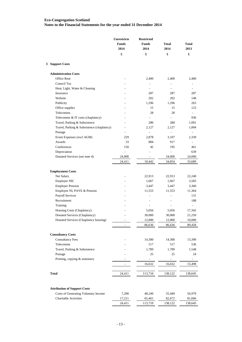| £<br>£<br>£<br>3 Support Costs<br><b>Administration Costs</b><br>Office Rent<br>2,400<br>2,400<br>$\overline{a}$<br>Council Tax<br>Heat, Light, Water & Cleaning<br>$\overline{\phantom{0}}$<br>$\overline{\phantom{0}}$<br>Insurance<br>287<br>287 | £<br>2,400<br>287<br>148<br>263<br>123 |
|-----------------------------------------------------------------------------------------------------------------------------------------------------------------------------------------------------------------------------------------------------|----------------------------------------|
|                                                                                                                                                                                                                                                     |                                        |
|                                                                                                                                                                                                                                                     |                                        |
|                                                                                                                                                                                                                                                     |                                        |
|                                                                                                                                                                                                                                                     |                                        |
|                                                                                                                                                                                                                                                     |                                        |
|                                                                                                                                                                                                                                                     |                                        |
|                                                                                                                                                                                                                                                     |                                        |
| Website<br>202<br>202                                                                                                                                                                                                                               |                                        |
| Publicity<br>1,296<br>1,296                                                                                                                                                                                                                         |                                        |
| Office supplies<br>15<br>15                                                                                                                                                                                                                         |                                        |
| Telecomms<br>28<br>28                                                                                                                                                                                                                               |                                        |
| Telecomms & IT costs (chaplaincy)<br>$\frac{1}{2}$<br>L,                                                                                                                                                                                            | 936                                    |
| Travel, Parking & Subsistence<br>280<br>280                                                                                                                                                                                                         | 1,091                                  |
| Travel, Parking & Subsistence (chaplaincy)<br>2,127<br>2,127                                                                                                                                                                                        | 1,004                                  |
| Postage<br>$\overline{\phantom{0}}$<br>$\overline{\phantom{0}}$                                                                                                                                                                                     |                                        |
| Event Expenses (excl AGM)<br>229<br>2,878<br>3,107                                                                                                                                                                                                  | 2,339                                  |
| Awards<br>33<br>884<br>917                                                                                                                                                                                                                          |                                        |
| Conferences<br>150<br>45<br>195                                                                                                                                                                                                                     | 461                                    |
| Depreciation<br>÷,<br>$\overline{a}$<br>÷,                                                                                                                                                                                                          | 639                                    |
| Donated Services (see note 4)<br>24,000<br>24,000<br>$\overline{\phantom{0}}$                                                                                                                                                                       | 24,000                                 |
| 24,411<br>10,442<br>34,854                                                                                                                                                                                                                          | 33,689                                 |
|                                                                                                                                                                                                                                                     |                                        |
| <b>Employment Costs</b>                                                                                                                                                                                                                             |                                        |
| Net Salary<br>22,913<br>22,913                                                                                                                                                                                                                      | 22,240                                 |
| Employer NIC<br>1,667<br>1,667<br>$\overline{a}$                                                                                                                                                                                                    | 3,583                                  |
| <b>Employer Pension</b><br>3,447<br>3,447<br>$\overline{a}$                                                                                                                                                                                         | 3,360                                  |
| Employee NI, PAYE & Pension<br>11,553<br>11,553                                                                                                                                                                                                     | 11,364                                 |
| <b>Payroll Services</b><br>$\overline{a}$<br>L,                                                                                                                                                                                                     | 131                                    |
| Recruitment<br>L,<br>L,                                                                                                                                                                                                                             | 188                                    |
| Training<br>$\overline{a}$<br>L,                                                                                                                                                                                                                    |                                        |
| Housing Costs (Chaplaincy)<br>5,056<br>5,056                                                                                                                                                                                                        | 17,342                                 |
| Donated Services (Chaplaincy)<br>30,000<br>30,000                                                                                                                                                                                                   | 21,250                                 |
| 12,000<br>12,000<br>Donated Services (Chaplaincy housing)                                                                                                                                                                                           | 10,000                                 |
| 86,636<br>86,636<br>L.                                                                                                                                                                                                                              | 89,458                                 |
|                                                                                                                                                                                                                                                     |                                        |
| <b>Consultancy Costs</b>                                                                                                                                                                                                                            |                                        |
| <b>Consultancy Fees</b><br>14,300<br>14,300                                                                                                                                                                                                         | 13,390                                 |
| Telecomms<br>517<br>517                                                                                                                                                                                                                             | 536                                    |
| Travel, Parking & Subsistence<br>1,789<br>1,789                                                                                                                                                                                                     | 1,548                                  |
| Postage<br>25<br>25                                                                                                                                                                                                                                 | 24                                     |
| Printing, copying & stationery<br>L,                                                                                                                                                                                                                |                                        |
| 16,632<br>16,632<br>$\sim$                                                                                                                                                                                                                          | 15,498                                 |
|                                                                                                                                                                                                                                                     |                                        |
| <b>Total</b><br>24,411<br>113,710<br>138,122                                                                                                                                                                                                        | 138,645                                |
|                                                                                                                                                                                                                                                     |                                        |
| <b>Attribution of Support Costs</b><br>Costs of Generating Voluntary Income<br>7,200<br>48,249                                                                                                                                                      | 56,979                                 |
| 55,449<br>Charitable Activities<br>17,211                                                                                                                                                                                                           |                                        |
| 65,461<br>82,672<br>24,411<br>113,710<br>138,122                                                                                                                                                                                                    | 81,666<br>138,645                      |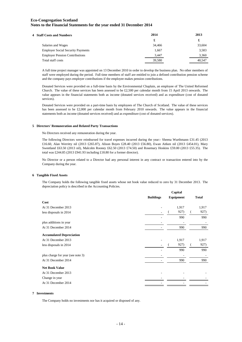| 4 Staff Costs and Numbers                | 2014   | 2013   |
|------------------------------------------|--------|--------|
|                                          | £      | £      |
| Salaries and Wages                       | 34,466 | 33,604 |
| <b>Employer Social Security Payments</b> | 1.667  | 3,583  |
| <b>Employer Pension Contributions</b>    | 3,447  | 3,360  |
| Total staff costs                        | 39.580 | 40.547 |

A full time project manager was appointed on 13 December 2010 in order to develop the business plan. No other members of staff were employed during the period. Full time members of staff are entitled to join a defined contribution pension scheme and the company pays employer contributions if the employee makes pension contributions.

Donated Services were provided on a full-time basis by the Environmental Chaplain, an employee of The United Reformed Church. The value of these services has been assessed to be £2,500 per calendar month from 15 April 2013 onwards. The value appears in the financial statements both as income (donated services received) and as expenditure (cost of donated services).

Donated Services were provided on a part-time basis by employees of The Church of Scotland. The value of these services has been assessed to be £2,000 per calendar month from February 2010 onwards. The value appears in the financial statements both as income (donated services received) and as expenditure (cost of donated services).

#### **5 Directors' Remuneration and Related Party Transactions**

No Directors received any remuneration during the year.

The following Directors were reimbursed for travel expenses incurred during the year:- Sheena Wurthmann £31.45 (2013 £16.60, Alan Werritty nil (2013 £265.87), Alison Boyes £28.40 (2013 £56.80), Ewan Aitken nil (2013 £454.01), Mary Sweetland £63.50 (2013 nil), Malcolm Rooney £62.50 (2013 £74.50) and Rosemary Hoskins £59.00 (2013 £55.35). The total was £244.85 (2013 £941.93 including £18.80 for a former director).

No Director or a person related to a Director had any personal interest in any contract or transaction entered into by the Company during the year.

#### **6 Tangible Fixed Assets**

The Company holds the following tangible fixed assets whose net book value reduced to zero by 31 December 2013. The depreciation policy is described in the Accounting Policies.

|                                   |                  | Capital |           |  |              |
|-----------------------------------|------------------|---------|-----------|--|--------------|
|                                   | <b>Buildings</b> |         | Equipment |  | <b>Total</b> |
| Cost                              |                  |         |           |  |              |
| At 31 December 2013               |                  |         | 1,917     |  | 1,917        |
| less disposals in 2014            |                  |         | 927)      |  | 927)         |
|                                   |                  |         | 990       |  | 990          |
| plus additions in year            |                  |         |           |  |              |
| At 31 December 2014               |                  |         | 990       |  | 990          |
| <b>Accumulated Depreciation</b>   |                  |         |           |  |              |
| At 31 December 2013               |                  |         | 1,917     |  | 1,917        |
| less disposals in 2014            |                  |         | 927)      |  | 927)         |
|                                   |                  |         | 990       |  | 990          |
| plus charge for year (see note 3) |                  |         |           |  |              |
| At 31 December 2014               |                  |         | 990       |  | 990          |
| <b>Net Book Value</b>             |                  |         |           |  |              |
| At 31 December 2013               |                  |         |           |  |              |
| Change in year                    |                  |         |           |  |              |
| At 31 December 2014               |                  |         |           |  |              |
|                                   |                  |         |           |  |              |

#### **7 Investments**

The Company holds no investments nor has it acquired or disposed of any.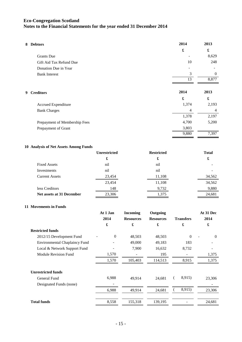| 8 Debtors                     | 2014           | 2013                 |
|-------------------------------|----------------|----------------------|
|                               | £              | $\pmb{\mathfrak{L}}$ |
| <b>Grants</b> Due             |                | 8,629                |
| Gift Aid Tax Refund Due       | 10             | 248                  |
| Donation Due in Year          |                |                      |
| <b>Bank Interest</b>          | 3              | $\theta$             |
|                               | 13             | 8,877                |
| 9 Creditors                   | 2014           | 2013                 |
|                               | £              | £                    |
| Accrued Expenditure           | 1,374          | 2,193                |
| <b>Bank Charges</b>           | $\overline{4}$ | $\overline{4}$       |
|                               | 1,378          | 2,197                |
| Prepayment of Membership Fees | 4,700          | 5,200                |
| Prepayment of Grant           | 3,803          |                      |
|                               | 9,880          | 7,397                |

#### **10 Analysis of Net Assets Among Funds**

|                           | <b>Unrestricted</b> | <b>Restricted</b> | <b>Total</b> |
|---------------------------|---------------------|-------------------|--------------|
|                           | £                   | £                 | £            |
| <b>Fixed Assets</b>       | nil                 | nil               |              |
| Investments               | nil                 | nil               |              |
| <b>Current Assets</b>     | 23,454              | 11,108            | 34,562       |
|                           | 23,454              | 11,108            | 34,562       |
| less Creditors            | 148                 | 9,732             | 9,880        |
| Net assets at 31 December | 23,306              | 1,375             | 24,681       |

#### **11 Movements in Funds**

| At 1 Jan | <b>Incoming</b>  | Outgoing         |                  | At 31 Dec |
|----------|------------------|------------------|------------------|-----------|
| 2014     | <b>Resources</b> | <b>Resources</b> | <b>Transfers</b> | 2014      |
| £        | £                | £                | £                | £         |
|          |                  |                  |                  |           |
| $\theta$ | 48,503           | 48,503           | $\Omega$         | $\Omega$  |
|          | 49,000           | 49,183           | 183              |           |
|          | 7,900            | 16,632           | 8,732            |           |
| 1,570    |                  | 195              |                  | 1,375     |
| 1,570    | 105,403          | 114,513          | 8,915            | 1,375     |
|          |                  |                  |                  |           |
| 6,988    | 49,914           | 24,681           | 8,915)           | 23,306    |
|          |                  |                  |                  |           |
| 6,988    | 49,914           | 24,681           | 8,915)           | 23,306    |
|          | 155,318          | 139,195          |                  | 24,681    |
|          | 8,558            |                  |                  |           |